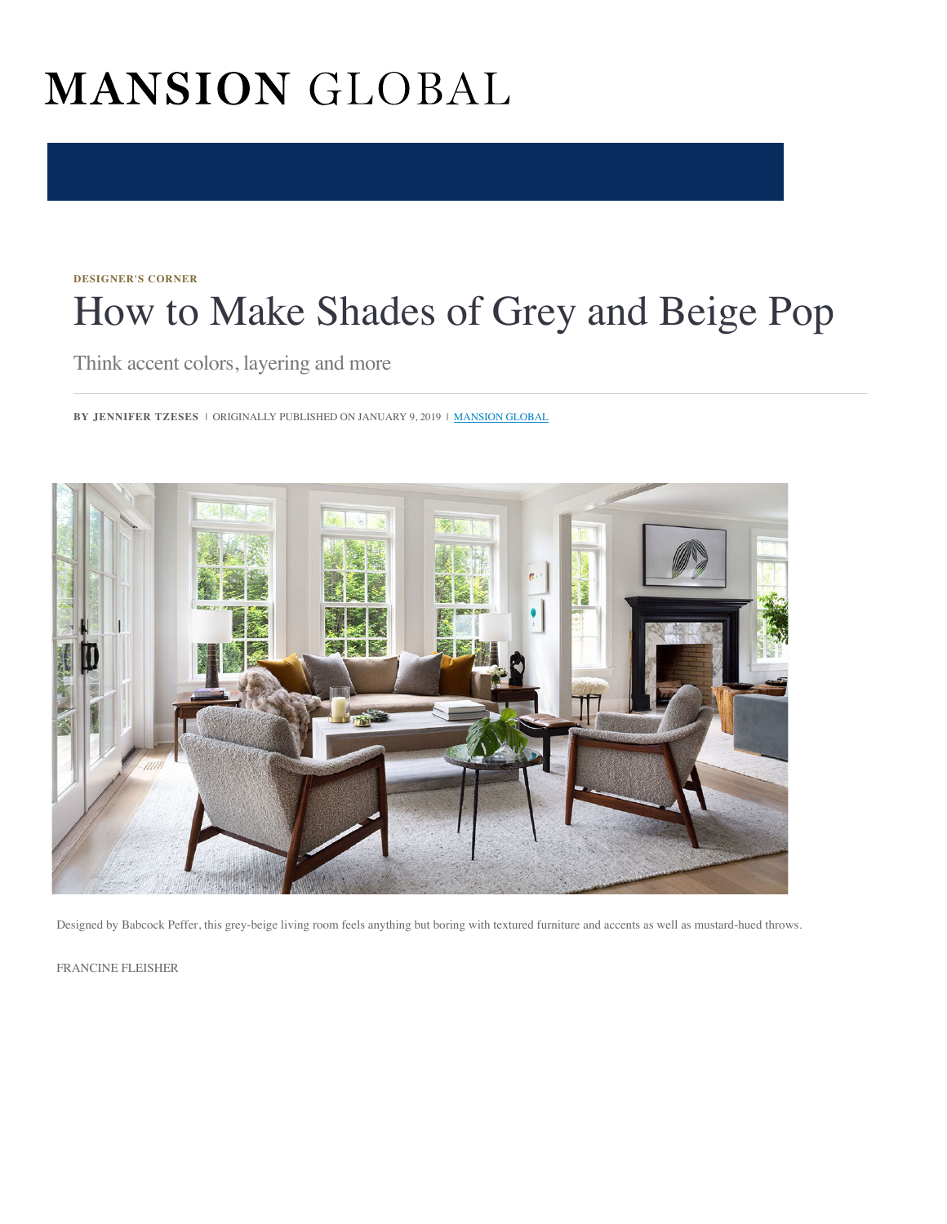# MANSION GLOBAL

#### **[DESIGNER'S CORNER](https://www.mansionglobal.com/luxury-real-estate-news/designers-corner)**

# How to Make Shades of Grey and Beige Pop

Think accent colors, layering and more

**BY JENNIFER TZESES** | ORIGINALLY PUBLISHED ON JANUARY 9, 2019 | **[MANSION GLOBAL](https://www.mansionglobal.com/)** 



Designed by Babcock Peffer, this grey-beige living room feels anything but boring with textured furniture and accents as well as mustard-hued throws.

FRANCINE FLEISHER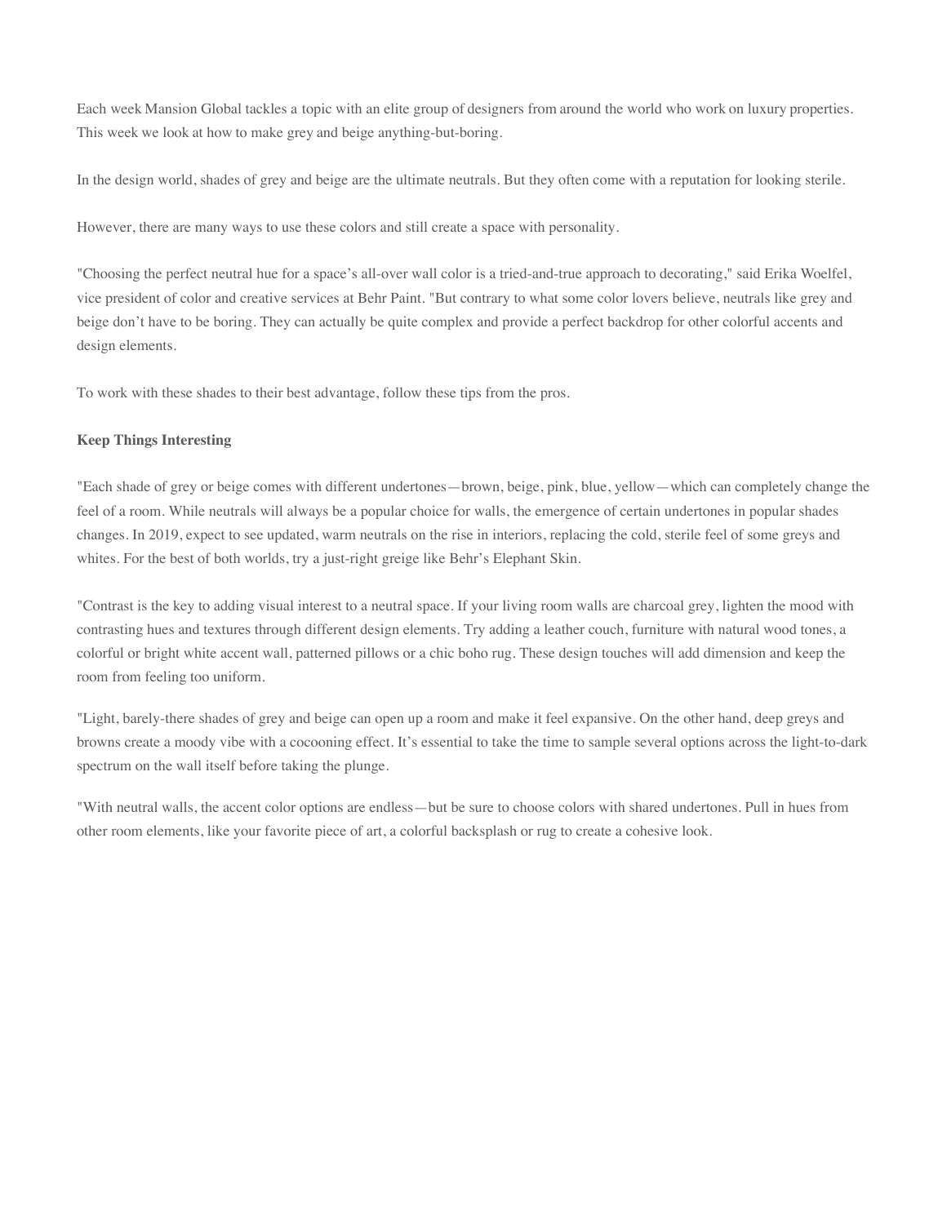Each week Mansion Global tackles a topic with an elite group of designers from around the world who work on luxury properties. This week we look at how to make grey and beige anything-but-boring.

In the design world, shades of grey and beige are the ultimate neutrals. But they often come with a reputation for looking sterile.

However, there are many ways to use these colors and still create a space with personality.

"Choosing the perfect neutral hue for a space's all-over wall color is a tried-and-true approach to decorating," said Erika Woelfel, vice president of color and creative services at Behr Paint. "But contrary to what some color lovers believe, neutrals like grey and beige don't have to be boring. They can actually be quite complex and provide a perfect backdrop for other colorful accents and design elements.

To work with these shades to their best advantage, follow these tips from the pros.

# **Keep Things Interesting**

"Each shade of grey or beige comes with different undertones—brown, beige, pink, blue, yellow—which can completely change the feel of a room. While neutrals will always be a popular choice for walls, the emergence of certain undertones in popular shades changes. In 2019, expect to see updated, warm neutrals on the rise in interiors, replacing the cold, sterile feel of some greys and whites. For the best of both worlds, try a just-right greige like Behr's Elephant Skin.

"Contrast is the key to adding visual interest to a neutral space. If your living room walls are charcoal grey, lighten the mood with contrasting hues and textures through different design elements. Try adding a leather couch, furniture with natural wood tones, a colorful or bright white accent wall, patterned pillows or a chic boho rug. These design touches will add dimension and keep the room from feeling too uniform.

"Light, barely-there shades of grey and beige can open up a room and make it feel expansive. On the other hand, deep greys and browns create a moody vibe with a cocooning effect. It's essential to take the time to sample several options across the light-to-dark spectrum on the wall itself before taking the plunge.

"With neutral walls, the accent color options are endless—but be sure to choose colors with shared undertones. Pull in hues from other room elements, like your favorite piece of art, a colorful backsplash or rug to create a cohesive look.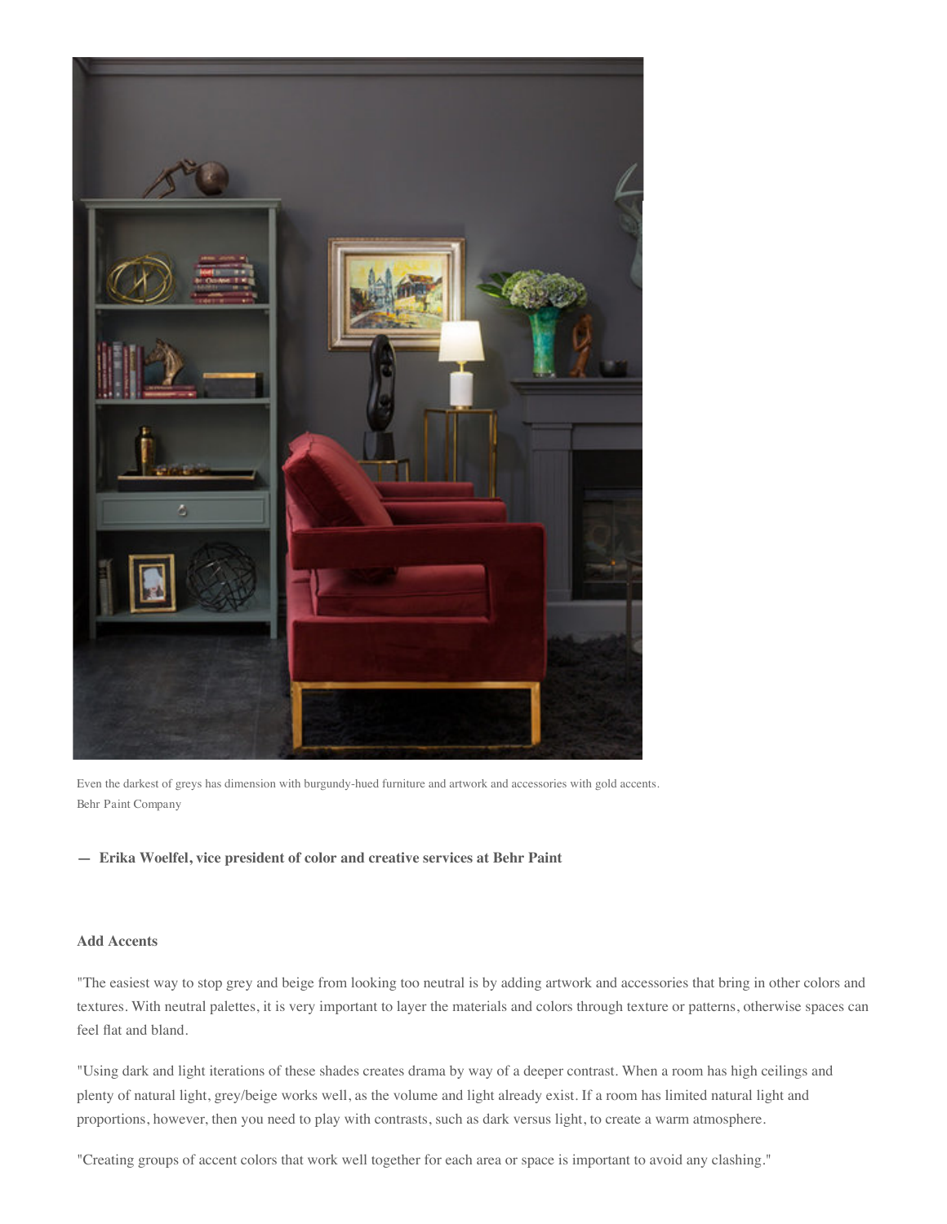

Even the darkest of greys has dimension with burgundy-hued furniture and artwork and accessories with gold accents. Behr Paint Company

# **— Erika Woelfel, vice president of color and creative services at Behr Paint**

# **Add Accents**

"The easiest way to stop grey and beige from looking too neutral is by adding artwork and accessories that bring in other colors and textures. With neutral palettes, it is very important to layer the materials and colors through texture or patterns, otherwise spaces can feel flat and bland.

"Using dark and light iterations of these shades creates drama by way of a deeper contrast. When a room has high ceilings and plenty of natural light, grey/beige works well, as the volume and light already exist. If a room has limited natural light and proportions, however, then you need to play with contrasts, such as dark versus light, to create a warm atmosphere.

"Creating groups of accent colors that work well together for each area or space is important to avoid any clashing."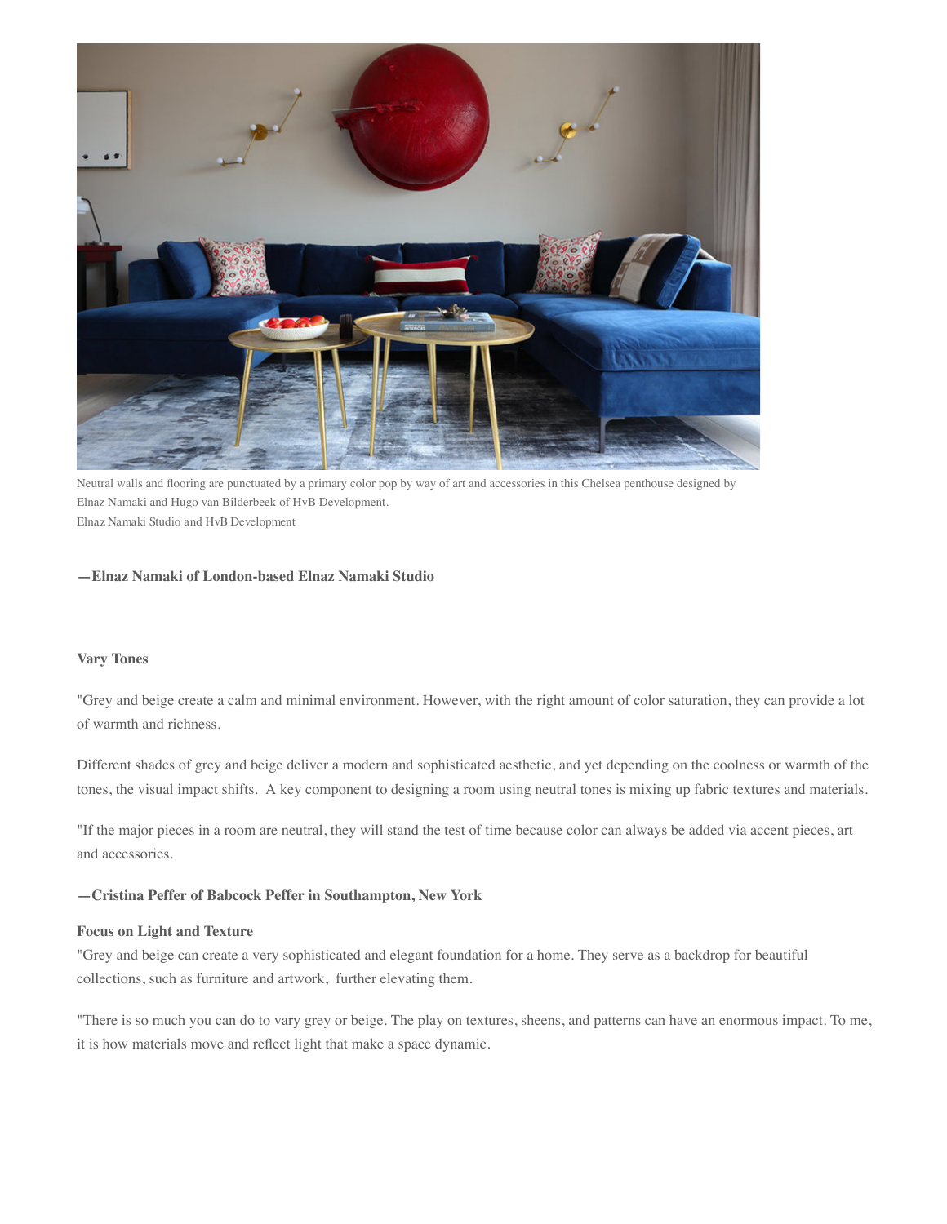

Neutral walls and flooring are punctuated by a primary color pop by way of art and accessories in this Chelsea penthouse designed by Elnaz Namaki and Hugo van Bilderbeek of HvB Development. Elnaz Namaki Studio and HvB Development

#### **—Elnaz Namaki of London-based Elnaz Namaki Studio**

#### **Vary Tones**

"Grey and beige create a calm and minimal environment. However, with the right amount of color saturation, they can provide a lot of warmth and richness.

Different shades of grey and beige deliver a modern and sophisticated aesthetic, and yet depending on the coolness or warmth of the tones, the visual impact shifts. A key component to designing a room using neutral tones is mixing up fabric textures and materials.

"If the major pieces in a room are neutral, they will stand the test of time because color can always be added via accent pieces, art and accessories.

### **—Cristina Peffer of Babcock Peffer in Southampton, New York**

#### **Focus on Light and Texture**

"Grey and beige can create a very sophisticated and elegant foundation for a home. They serve as a backdrop for beautiful collections, such as furniture and artwork, further elevating them.

"There is so much you can do to vary grey or beige. The play on textures, sheens, and patterns can have an enormous impact. To me, it is how materials move and reflect light that make a space dynamic.